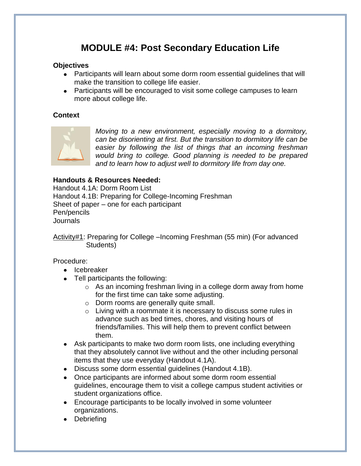## **MODULE #4: Post Secondary Education Life**

#### **Objectives**

- Participants will learn about some dorm room essential guidelines that will make the transition to college life easier.
- Participants will be encouraged to visit some college campuses to learn more about college life.

#### **Context**



*Moving to a new environment, especially moving to a dormitory, can be disorienting at first. But the transition to dormitory life can be easier by following the list of things that an incoming freshman would bring to college. Good planning is needed to be prepared and to learn how to adjust well to dormitory life from day one.* 

#### **Handouts & Resources Needed:**

Handout 4.1A: Dorm Room List Handout 4.1B: Preparing for College-Incoming Freshman Sheet of paper – one for each participant Pen/pencils Journals

Activity#1: Preparing for College –Incoming Freshman (55 min) (For advanced Students)

#### Procedure:

- Icebreaker
- Tell participants the following:
	- o As an incoming freshman living in a college dorm away from home for the first time can take some adjusting.
	- o Dorm rooms are generally quite small.
	- o Living with a roommate it is necessary to discuss some rules in advance such as bed times, chores, and visiting hours of friends/families. This will help them to prevent conflict between them.
- Ask participants to make two dorm room lists, one including everything that they absolutely cannot live without and the other including personal items that they use everyday (Handout 4.1A).
- Discuss some dorm essential guidelines (Handout 4.1B).
- Once participants are informed about some dorm room essential guidelines, encourage them to visit a college campus student activities or student organizations office.
- Encourage participants to be locally involved in some volunteer organizations.
- Debriefing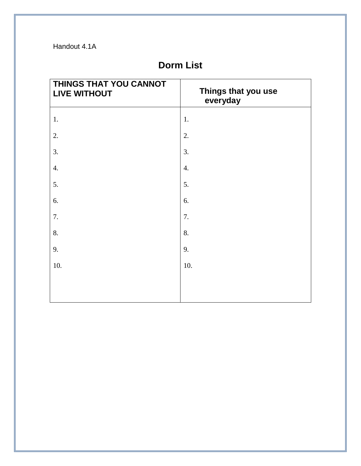Handout 4.1A

# **Dorm List**

| THINGS THAT YOU CANNOT<br><b>LIVE WITHOUT</b> | Things that you use<br>everyday |
|-----------------------------------------------|---------------------------------|
| 1.                                            | 1.                              |
| 2.                                            | 2.                              |
| 3.                                            | 3.                              |
| $\overline{4}$ .                              | 4.                              |
| 5.                                            | 5.                              |
| 6.                                            | 6.                              |
| 7.                                            | 7.                              |
| 8.                                            | 8.                              |
| 9.                                            | 9.                              |
| 10.                                           | 10.                             |
|                                               |                                 |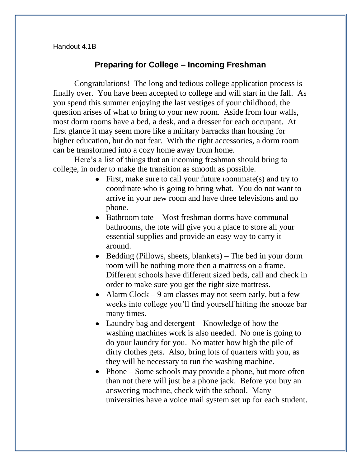#### Handout 4.1B

### **Preparing for College – Incoming Freshman**

Congratulations! The long and tedious college application process is finally over. You have been accepted to college and will start in the fall. As you spend this summer enjoying the last vestiges of your childhood, the question arises of what to bring to your new room. Aside from four walls, most dorm rooms have a bed, a desk, and a dresser for each occupant. At first glance it may seem more like a military barracks than housing for higher education, but do not fear. With the right accessories, a dorm room can be transformed into a cozy home away from home.

Here's a list of things that an incoming freshman should bring to college, in order to make the transition as smooth as possible.

- First, make sure to call your future roommate(s) and try to coordinate who is going to bring what. You do not want to arrive in your new room and have three televisions and no phone.
- Bathroom tote Most freshman dorms have communal bathrooms, the tote will give you a place to store all your essential supplies and provide an easy way to carry it around.
- Bedding (Pillows, sheets, blankets) The bed in your dorm room will be nothing more then a mattress on a frame. Different schools have different sized beds, call and check in order to make sure you get the right size mattress.
- Alarm Clock  $-9$  am classes may not seem early, but a few weeks into college you'll find yourself hitting the snooze bar many times.
- Laundry bag and detergent Knowledge of how the washing machines work is also needed. No one is going to do your laundry for you. No matter how high the pile of dirty clothes gets. Also, bring lots of quarters with you, as they will be necessary to run the washing machine.
- Phone Some schools may provide a phone, but more often than not there will just be a phone jack. Before you buy an answering machine, check with the school. Many universities have a voice mail system set up for each student.